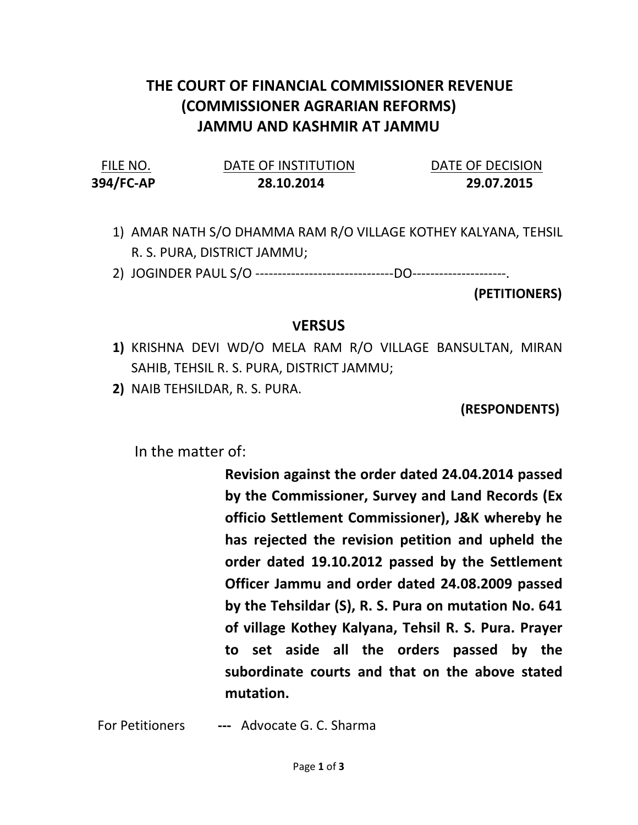## THE COURT OF FINANCIAL COMMISSIONER REVENUE (COMMISSIONER AGRARIAN REFORMS) JAMMU AND KASHMIR AT JAMMU

394/FC-AP 28.10.2014 29.07.2015

FILE NO. DATE OF INSTITUTION DATE OF DECISION

- 1) AMAR NATH S/O DHAMMA RAM R/O VILLAGE KOTHEY KALYANA, TEHSIL R. S. PURA, DISTRICT JAMMU;
- 2) JOGINDER PAUL S/O -------------------------------DO---------------------.

(PETITIONERS)

## **VERSUS**

- 1) KRISHNA DEVI WD/O MELA RAM R/O VILLAGE BANSULTAN, MIRAN SAHIB, TEHSIL R. S. PURA, DISTRICT JAMMU;
- 2) NAIB TEHSILDAR, R. S. PURA.

(RESPONDENTS)

In the matter of:

Revision against the order dated 24.04.2014 passed by the Commissioner, Survey and Land Records (Ex officio Settlement Commissioner), J&K whereby he has rejected the revision petition and upheld the order dated 19.10.2012 passed by the Settlement Officer Jammu and order dated 24.08.2009 passed by the Tehsildar (S), R. S. Pura on mutation No. 641 of village Kothey Kalyana, Tehsil R. S. Pura. Prayer to set aside all the orders passed by the subordinate courts and that on the above stated mutation.

For Petitioners --- Advocate G. C. Sharma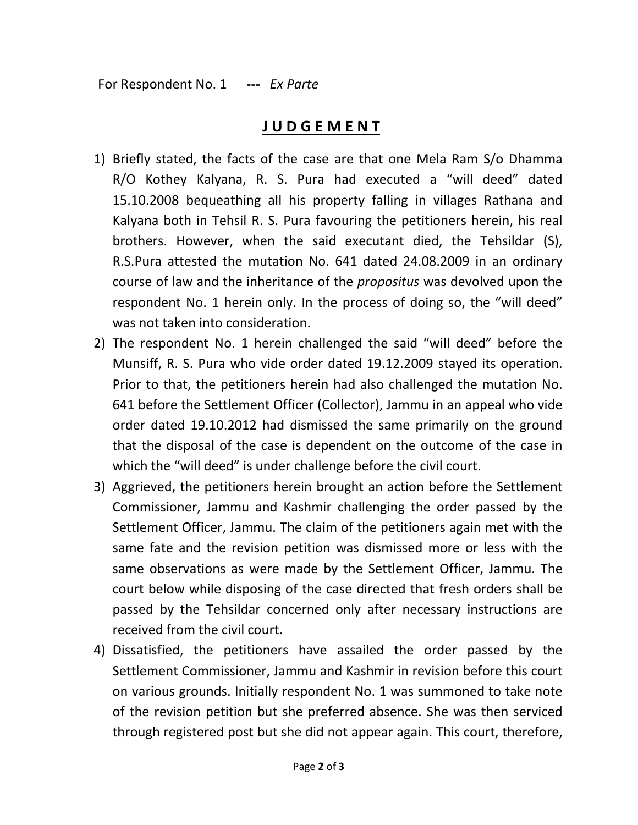## J U D G E M E N T

- 1) Briefly stated, the facts of the case are that one Mela Ram S/o Dhamma R/O Kothey Kalyana, R. S. Pura had executed a "will deed" dated 15.10.2008 bequeathing all his property falling in villages Rathana and Kalyana both in Tehsil R. S. Pura favouring the petitioners herein, his real brothers. However, when the said executant died, the Tehsildar (S), R.S.Pura attested the mutation No. 641 dated 24.08.2009 in an ordinary course of law and the inheritance of the propositus was devolved upon the respondent No. 1 herein only. In the process of doing so, the "will deed" was not taken into consideration.
- 2) The respondent No. 1 herein challenged the said "will deed" before the Munsiff, R. S. Pura who vide order dated 19.12.2009 stayed its operation. Prior to that, the petitioners herein had also challenged the mutation No. 641 before the Settlement Officer (Collector), Jammu in an appeal who vide order dated 19.10.2012 had dismissed the same primarily on the ground that the disposal of the case is dependent on the outcome of the case in which the "will deed" is under challenge before the civil court.
- 3) Aggrieved, the petitioners herein brought an action before the Settlement Commissioner, Jammu and Kashmir challenging the order passed by the Settlement Officer, Jammu. The claim of the petitioners again met with the same fate and the revision petition was dismissed more or less with the same observations as were made by the Settlement Officer, Jammu. The court below while disposing of the case directed that fresh orders shall be passed by the Tehsildar concerned only after necessary instructions are received from the civil court.
- 4) Dissatisfied, the petitioners have assailed the order passed by the Settlement Commissioner, Jammu and Kashmir in revision before this court on various grounds. Initially respondent No. 1 was summoned to take note of the revision petition but she preferred absence. She was then serviced through registered post but she did not appear again. This court, therefore,